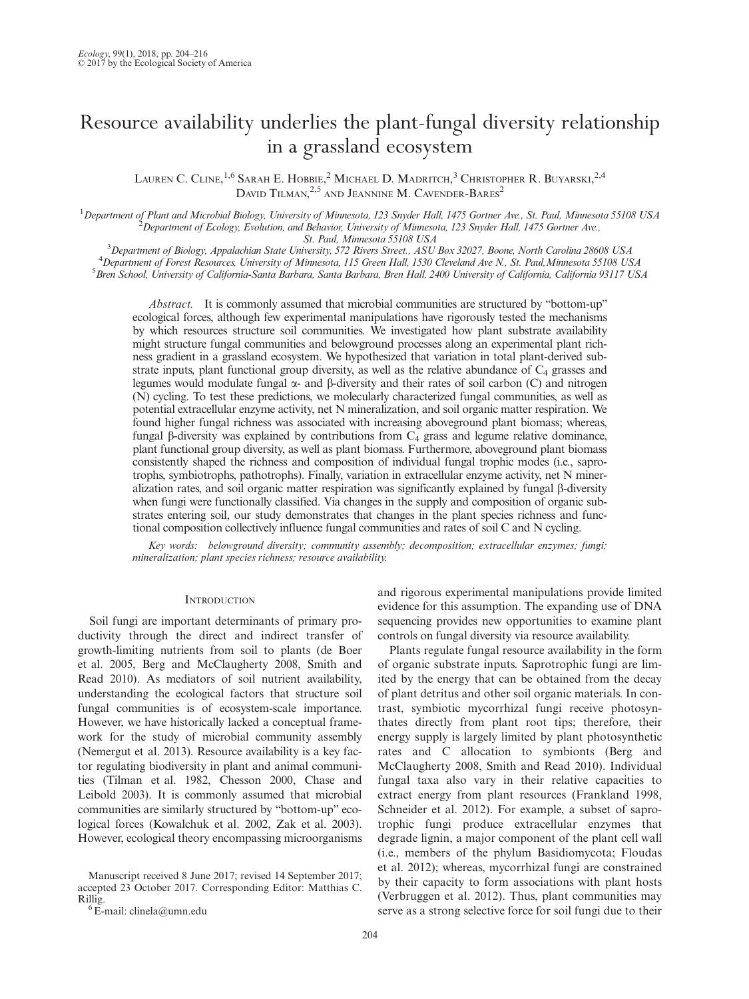# Resource availability underlies the plant-fungal diversity relationship in a grassland ecosystem

LAUREN C. CLINE,<sup>1,6</sup> Sarah E. Hobbie,<sup>2</sup> Michael D. Madritch,<sup>3</sup> Christopher R. Buyarski,<sup>2,4</sup> DAVID TILMAN,  $^{2,5}$  and Jeannine M. Cavender-Bares<sup>2</sup>

<sup>1</sup>Department of Plant and Microbial Biology, University of Minnesota, 123 Snyder Hall, 1475 Gortner Ave., St. Paul, Minnesota 55108 USA<br><sup>2</sup> Department of Ecology, Evolution, and Behavior University of Minnesota, 123 Snyde  $^2$ Department of Ecology, Evolution, and Behavior, University of Minnesota, 123 Snyder Hall, 1475 Gortner Ave.,

St. Paul, Minnesota 55108 USA<br><sup>3</sup> Department of Biology, Appalachian State University 572 Rivers Street, ASU  $^{3}$ Department of Biology, Appalachian State University, 572 Rivers Street., ASU Box 32027, Boone, North Carolina 28608 USA  $^{4}$ Department of Forget Resources University of Minnesota 115 Green Hall 1530 Cloveland Ave N. <sup>4</sup> Department of Forest Resources, University of Minnesota, 115 Green Hall, 1530 Cleveland Ave N., St. Paul, Minnesota 55108 USA <sup>5</sup> Bren School, University of California-Santa Barbara, Santa Barbara, Bren Hall, 2400 University of California, California 93117 USA

Abstract. It is commonly assumed that microbial communities are structured by "bottom-up" ecological forces, although few experimental manipulations have rigorously tested the mechanisms by which resources structure soil communities. We investigated how plant substrate availability might structure fungal communities and belowground processes along an experimental plant richness gradient in a grassland ecosystem. We hypothesized that variation in total plant-derived substrate inputs, plant functional group diversity, as well as the relative abundance of  $C_4$  grasses and legumes would modulate fungal  $\alpha$ - and  $\beta$ -diversity and their rates of soil carbon (C) and nitrogen (N) cycling. To test these predictions, we molecularly characterized fungal communities, as well as potential extracellular enzyme activity, net N mineralization, and soil organic matter respiration. We found higher fungal richness was associated with increasing aboveground plant biomass; whereas, fungal  $\beta$ -diversity was explained by contributions from  $C_4$  grass and legume relative dominance, plant functional group diversity, as well as plant biomass. Furthermore, aboveground plant biomass consistently shaped the richness and composition of individual fungal trophic modes (i.e., saprotrophs, symbiotrophs, pathotrophs). Finally, variation in extracellular enzyme activity, net N mineralization rates, and soil organic matter respiration was significantly explained by fungal  $\beta$ -diversity when fungi were functionally classified. Via changes in the supply and composition of organic substrates entering soil, our study demonstrates that changes in the plant species richness and functional composition collectively influence fungal communities and rates of soil C and N cycling.

Key words: belowground diversity; community assembly; decomposition; extracellular enzymes; fungi; mineralization; plant species richness; resource availability.

## **INTRODUCTION**

Soil fungi are important determinants of primary productivity through the direct and indirect transfer of growth-limiting nutrients from soil to plants (de Boer et al. 2005, Berg and McClaugherty 2008, Smith and Read 2010). As mediators of soil nutrient availability, understanding the ecological factors that structure soil fungal communities is of ecosystem-scale importance. However, we have historically lacked a conceptual framework for the study of microbial community assembly (Nemergut et al. 2013). Resource availability is a key factor regulating biodiversity in plant and animal communities (Tilman et al. 1982, Chesson 2000, Chase and Leibold 2003). It is commonly assumed that microbial communities are similarly structured by "bottom-up" ecological forces (Kowalchuk et al. 2002, Zak et al. 2003). However, ecological theory encompassing microorganisms

Manuscript received 8 June 2017; revised 14 September 2017; accepted 23 October 2017. Corresponding Editor: Matthias C. Rillig.<br><sup>6</sup>E-mail: clinela@umn.edu

and rigorous experimental manipulations provide limited evidence for this assumption. The expanding use of DNA sequencing provides new opportunities to examine plant controls on fungal diversity via resource availability.

Plants regulate fungal resource availability in the form of organic substrate inputs. Saprotrophic fungi are limited by the energy that can be obtained from the decay of plant detritus and other soil organic materials. In contrast, symbiotic mycorrhizal fungi receive photosynthates directly from plant root tips; therefore, their energy supply is largely limited by plant photosynthetic rates and C allocation to symbionts (Berg and McClaugherty 2008, Smith and Read 2010). Individual fungal taxa also vary in their relative capacities to extract energy from plant resources (Frankland 1998, Schneider et al. 2012). For example, a subset of saprotrophic fungi produce extracellular enzymes that degrade lignin, a major component of the plant cell wall (i.e., members of the phylum Basidiomycota; Floudas et al. 2012); whereas, mycorrhizal fungi are constrained by their capacity to form associations with plant hosts (Verbruggen et al. 2012). Thus, plant communities may serve as a strong selective force for soil fungi due to their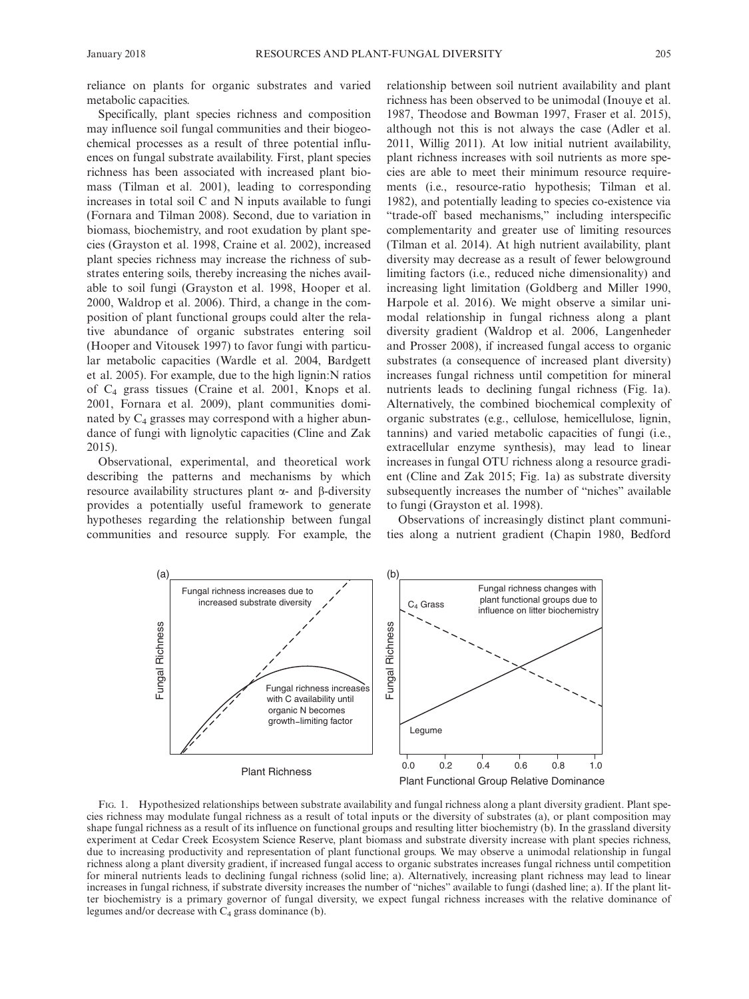reliance on plants for organic substrates and varied metabolic capacities.

Specifically, plant species richness and composition may influence soil fungal communities and their biogeochemical processes as a result of three potential influences on fungal substrate availability. First, plant species richness has been associated with increased plant biomass (Tilman et al. 2001), leading to corresponding increases in total soil C and N inputs available to fungi (Fornara and Tilman 2008). Second, due to variation in biomass, biochemistry, and root exudation by plant species (Grayston et al. 1998, Craine et al. 2002), increased plant species richness may increase the richness of substrates entering soils, thereby increasing the niches available to soil fungi (Grayston et al. 1998, Hooper et al. 2000, Waldrop et al. 2006). Third, a change in the composition of plant functional groups could alter the relative abundance of organic substrates entering soil (Hooper and Vitousek 1997) to favor fungi with particular metabolic capacities (Wardle et al. 2004, Bardgett et al. 2005). For example, due to the high lignin:N ratios of C4 grass tissues (Craine et al. 2001, Knops et al. 2001, Fornara et al. 2009), plant communities dominated by  $C_4$  grasses may correspond with a higher abundance of fungi with lignolytic capacities (Cline and Zak 2015).

Observational, experimental, and theoretical work describing the patterns and mechanisms by which resource availability structures plant  $\alpha$ - and  $\beta$ -diversity provides a potentially useful framework to generate hypotheses regarding the relationship between fungal communities and resource supply. For example, the relationship between soil nutrient availability and plant richness has been observed to be unimodal (Inouye et al. 1987, Theodose and Bowman 1997, Fraser et al. 2015), although not this is not always the case (Adler et al. 2011, Willig 2011). At low initial nutrient availability, plant richness increases with soil nutrients as more species are able to meet their minimum resource requirements (i.e., resource-ratio hypothesis; Tilman et al. 1982), and potentially leading to species co-existence via "trade-off based mechanisms," including interspecific complementarity and greater use of limiting resources (Tilman et al. 2014). At high nutrient availability, plant diversity may decrease as a result of fewer belowground limiting factors (i.e., reduced niche dimensionality) and increasing light limitation (Goldberg and Miller 1990, Harpole et al. 2016). We might observe a similar unimodal relationship in fungal richness along a plant diversity gradient (Waldrop et al. 2006, Langenheder and Prosser 2008), if increased fungal access to organic substrates (a consequence of increased plant diversity) increases fungal richness until competition for mineral nutrients leads to declining fungal richness (Fig. 1a). Alternatively, the combined biochemical complexity of organic substrates (e.g., cellulose, hemicellulose, lignin, tannins) and varied metabolic capacities of fungi (i.e., extracellular enzyme synthesis), may lead to linear increases in fungal OTU richness along a resource gradient (Cline and Zak 2015; Fig. 1a) as substrate diversity subsequently increases the number of "niches" available to fungi (Grayston et al. 1998).

Observations of increasingly distinct plant communities along a nutrient gradient (Chapin 1980, Bedford



FIG. 1. Hypothesized relationships between substrate availability and fungal richness along a plant diversity gradient. Plant species richness may modulate fungal richness as a result of total inputs or the diversity of substrates (a), or plant composition may shape fungal richness as a result of its influence on functional groups and resulting litter biochemistry (b). In the grassland diversity experiment at Cedar Creek Ecosystem Science Reserve, plant biomass and substrate diversity increase with plant species richness, due to increasing productivity and representation of plant functional groups. We may observe a unimodal relationship in fungal richness along a plant diversity gradient, if increased fungal access to organic substrates increases fungal richness until competition for mineral nutrients leads to declining fungal richness (solid line; a). Alternatively, increasing plant richness may lead to linear increases in fungal richness, if substrate diversity increases the number of "niches" available to fungi (dashed line; a). If the plant litter biochemistry is a primary governor of fungal diversity, we expect fungal richness increases with the relative dominance of legumes and/or decrease with  $C_4$  grass dominance (b).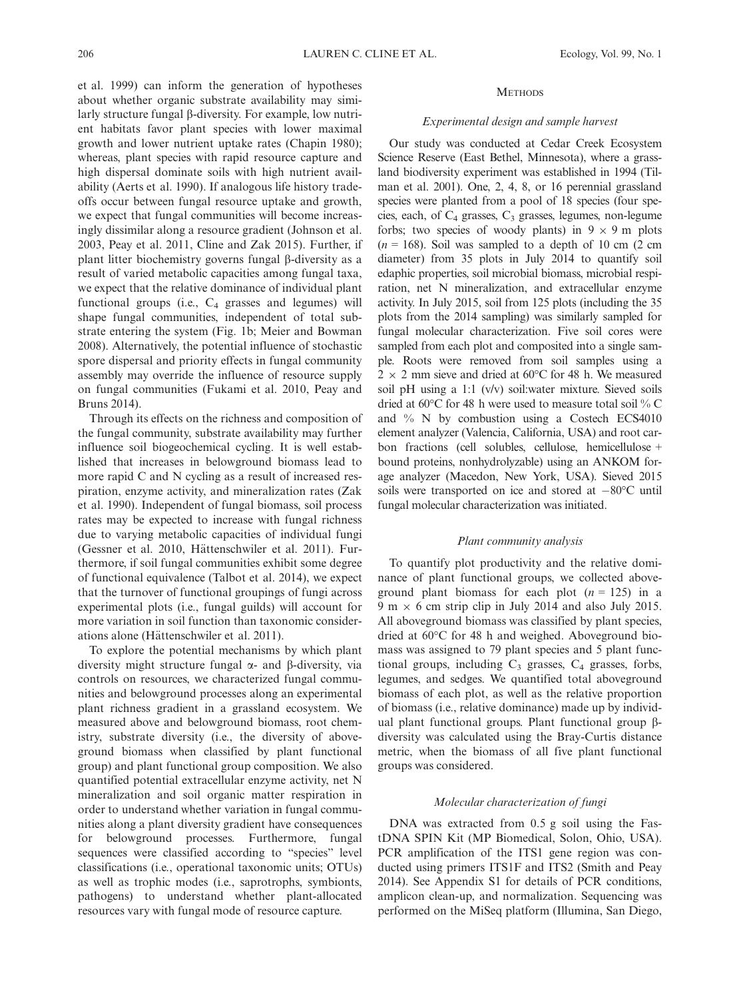et al. 1999) can inform the generation of hypotheses about whether organic substrate availability may similarly structure fungal  $\beta$ -diversity. For example, low nutrient habitats favor plant species with lower maximal growth and lower nutrient uptake rates (Chapin 1980); whereas, plant species with rapid resource capture and high dispersal dominate soils with high nutrient availability (Aerts et al. 1990). If analogous life history tradeoffs occur between fungal resource uptake and growth, we expect that fungal communities will become increasingly dissimilar along a resource gradient (Johnson et al. 2003, Peay et al. 2011, Cline and Zak 2015). Further, if plant litter biochemistry governs fungal  $\beta$ -diversity as a result of varied metabolic capacities among fungal taxa, we expect that the relative dominance of individual plant functional groups (i.e.,  $C_4$  grasses and legumes) will shape fungal communities, independent of total substrate entering the system (Fig. 1b; Meier and Bowman 2008). Alternatively, the potential influence of stochastic spore dispersal and priority effects in fungal community assembly may override the influence of resource supply on fungal communities (Fukami et al. 2010, Peay and Bruns 2014).

Through its effects on the richness and composition of the fungal community, substrate availability may further influence soil biogeochemical cycling. It is well established that increases in belowground biomass lead to more rapid C and N cycling as a result of increased respiration, enzyme activity, and mineralization rates (Zak et al. 1990). Independent of fungal biomass, soil process rates may be expected to increase with fungal richness due to varying metabolic capacities of individual fungi (Gessner et al. 2010, Hättenschwiler et al. 2011). Furthermore, if soil fungal communities exhibit some degree of functional equivalence (Talbot et al. 2014), we expect that the turnover of functional groupings of fungi across experimental plots (i.e., fungal guilds) will account for more variation in soil function than taxonomic considerations alone (Hättenschwiler et al. 2011).

To explore the potential mechanisms by which plant diversity might structure fungal  $\alpha$ - and  $\beta$ -diversity, via controls on resources, we characterized fungal communities and belowground processes along an experimental plant richness gradient in a grassland ecosystem. We measured above and belowground biomass, root chemistry, substrate diversity (i.e., the diversity of aboveground biomass when classified by plant functional group) and plant functional group composition. We also quantified potential extracellular enzyme activity, net N mineralization and soil organic matter respiration in order to understand whether variation in fungal communities along a plant diversity gradient have consequences for belowground processes. Furthermore, fungal sequences were classified according to "species" level classifications (i.e., operational taxonomic units; OTUs) as well as trophic modes (i.e., saprotrophs, symbionts, pathogens) to understand whether plant-allocated resources vary with fungal mode of resource capture.

#### **METHODS**

## Experimental design and sample harvest

Our study was conducted at Cedar Creek Ecosystem Science Reserve (East Bethel, Minnesota), where a grassland biodiversity experiment was established in 1994 (Tilman et al. 2001). One, 2, 4, 8, or 16 perennial grassland species were planted from a pool of 18 species (four species, each, of  $C_4$  grasses,  $C_3$  grasses, legumes, non-legume forbs; two species of woody plants) in  $9 \times 9$  m plots  $(n = 168)$ . Soil was sampled to a depth of 10 cm (2 cm diameter) from 35 plots in July 2014 to quantify soil edaphic properties, soil microbial biomass, microbial respiration, net N mineralization, and extracellular enzyme activity. In July 2015, soil from 125 plots (including the 35 plots from the 2014 sampling) was similarly sampled for fungal molecular characterization. Five soil cores were sampled from each plot and composited into a single sample. Roots were removed from soil samples using a  $2 \times 2$  mm sieve and dried at 60°C for 48 h. We measured soil pH using a 1:1 (v/v) soil:water mixture. Sieved soils dried at 60°C for 48 h were used to measure total soil % C and % N by combustion using a Costech ECS4010 element analyzer (Valencia, California, USA) and root carbon fractions (cell solubles, cellulose, hemicellulose + bound proteins, nonhydrolyzable) using an ANKOM forage analyzer (Macedon, New York, USA). Sieved 2015 soils were transported on ice and stored at  $-80^{\circ}$ C until fungal molecular characterization was initiated.

## Plant community analysis

To quantify plot productivity and the relative dominance of plant functional groups, we collected aboveground plant biomass for each plot  $(n = 125)$  in a 9 m  $\times$  6 cm strip clip in July 2014 and also July 2015. All aboveground biomass was classified by plant species, dried at 60°C for 48 h and weighed. Aboveground biomass was assigned to 79 plant species and 5 plant functional groups, including  $C_3$  grasses,  $C_4$  grasses, forbs, legumes, and sedges. We quantified total aboveground biomass of each plot, as well as the relative proportion of biomass (i.e., relative dominance) made up by individual plant functional groups. Plant functional group  $\beta$ diversity was calculated using the Bray-Curtis distance metric, when the biomass of all five plant functional groups was considered.

#### Molecular characterization of fungi

DNA was extracted from 0.5 g soil using the FastDNA SPIN Kit (MP Biomedical, Solon, Ohio, USA). PCR amplification of the ITS1 gene region was conducted using primers ITS1F and ITS2 (Smith and Peay 2014). See Appendix S1 for details of PCR conditions, amplicon clean-up, and normalization. Sequencing was performed on the MiSeq platform (Illumina, San Diego,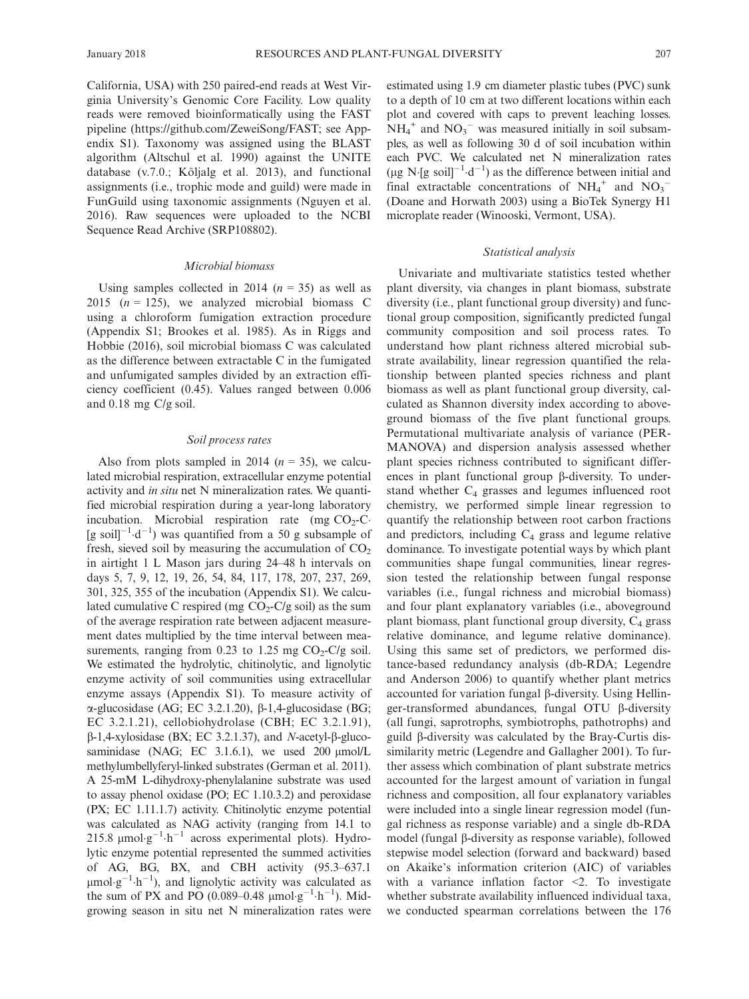California, USA) with 250 paired-end reads at West Virginia University's Genomic Core Facility. Low quality reads were removed bioinformatically using the FAST pipeline (https://github.com/ZeweiSong/FAST; see Appendix S1). Taxonomy was assigned using the BLAST algorithm (Altschul et al. 1990) against the UNITE database  $(v.7.0.$ ; Kõljalg et al. 2013), and functional assignments (i.e., trophic mode and guild) were made in FunGuild using taxonomic assignments (Nguyen et al. 2016). Raw sequences were uploaded to the NCBI Sequence Read Archive (SRP108802).

## Microbial biomass

Using samples collected in 2014 ( $n = 35$ ) as well as 2015 ( $n = 125$ ), we analyzed microbial biomass C using a chloroform fumigation extraction procedure (Appendix S1; Brookes et al. 1985). As in Riggs and Hobbie (2016), soil microbial biomass C was calculated as the difference between extractable C in the fumigated and unfumigated samples divided by an extraction efficiency coefficient (0.45). Values ranged between 0.006 and 0.18 mg C/g soil.

## Soil process rates

Also from plots sampled in 2014 ( $n = 35$ ), we calculated microbial respiration, extracellular enzyme potential activity and in situ net N mineralization rates. We quantified microbial respiration during a year-long laboratory incubation. Microbial respiration rate (mg  $CO<sub>2</sub>-C$ [g soil]<sup>-1</sup> d<sup>-1</sup>) was quantified from a 50 g subsample of fresh, sieved soil by measuring the accumulation of  $CO<sub>2</sub>$ in airtight 1 L Mason jars during 24–48 h intervals on days 5, 7, 9, 12, 19, 26, 54, 84, 117, 178, 207, 237, 269, 301, 325, 355 of the incubation (Appendix S1). We calculated cumulative C respired (mg  $CO<sub>2</sub>$ -C/g soil) as the sum of the average respiration rate between adjacent measurement dates multiplied by the time interval between measurements, ranging from 0.23 to 1.25 mg  $CO<sub>2</sub>-Cl<sub>g</sub>$  soil. We estimated the hydrolytic, chitinolytic, and lignolytic enzyme activity of soil communities using extracellular enzyme assays (Appendix S1). To measure activity of  $\alpha$ -glucosidase (AG; EC 3.2.1.20),  $\beta$ -1,4-glucosidase (BG; EC 3.2.1.21), cellobiohydrolase (CBH; EC 3.2.1.91),  $\beta$ -1,4-xylosidase (BX; EC 3.2.1.37), and *N*-acetyl- $\beta$ -glucosaminidase (NAG; EC  $3.1.6.1$ ), we used  $200 \mu m o l/L$ methylumbellyferyl-linked substrates (German et al. 2011). A 25-mM L-dihydroxy-phenylalanine substrate was used to assay phenol oxidase (PO; EC 1.10.3.2) and peroxidase (PX; EC 1.11.1.7) activity. Chitinolytic enzyme potential was calculated as NAG activity (ranging from 14.1 to 215.8  $\mu$ mol·g<sup>-1</sup>·h<sup>-1</sup> across experimental plots). Hydrolytic enzyme potential represented the summed activities of AG, BG, BX, and CBH activity (95.3–637.1  $\mu$ mol·g<sup>-1</sup>·h<sup>-1</sup>), and lignolytic activity was calculated as the sum of PX and PO (0.089–0.48  $\mu$ mol·g<sup>-1</sup>·h<sup>-1</sup>). Midgrowing season in situ net N mineralization rates were estimated using 1.9 cm diameter plastic tubes (PVC) sunk to a depth of 10 cm at two different locations within each plot and covered with caps to prevent leaching losses.  $NH_4^+$  and  $NO_3^-$  was measured initially in soil subsamples, as well as following 30 d of soil incubation within each PVC. We calculated net N mineralization rates  $(\mu g \text{ N}$  [g soil]<sup>-1</sup> d<sup>-1</sup>) as the difference between initial and final extractable concentrations of  $NH_4^+$  and  $NO_3^-$ (Doane and Horwath 2003) using a BioTek Synergy H1 microplate reader (Winooski, Vermont, USA).

## Statistical analysis

Univariate and multivariate statistics tested whether plant diversity, via changes in plant biomass, substrate diversity (i.e., plant functional group diversity) and functional group composition, significantly predicted fungal community composition and soil process rates. To understand how plant richness altered microbial substrate availability, linear regression quantified the relationship between planted species richness and plant biomass as well as plant functional group diversity, calculated as Shannon diversity index according to aboveground biomass of the five plant functional groups. Permutational multivariate analysis of variance (PER-MANOVA) and dispersion analysis assessed whether plant species richness contributed to significant differences in plant functional group  $\beta$ -diversity. To understand whether  $C_4$  grasses and legumes influenced root chemistry, we performed simple linear regression to quantify the relationship between root carbon fractions and predictors, including  $C_4$  grass and legume relative dominance. To investigate potential ways by which plant communities shape fungal communities, linear regression tested the relationship between fungal response variables (i.e., fungal richness and microbial biomass) and four plant explanatory variables (i.e., aboveground plant biomass, plant functional group diversity, C<sub>4</sub> grass relative dominance, and legume relative dominance). Using this same set of predictors, we performed distance-based redundancy analysis (db-RDA; Legendre and Anderson 2006) to quantify whether plant metrics accounted for variation fungal  $\beta$ -diversity. Using Hellinger-transformed abundances, fungal  $OTU$   $\beta$ -diversity (all fungi, saprotrophs, symbiotrophs, pathotrophs) and guild  $\beta$ -diversity was calculated by the Bray-Curtis dissimilarity metric (Legendre and Gallagher 2001). To further assess which combination of plant substrate metrics accounted for the largest amount of variation in fungal richness and composition, all four explanatory variables were included into a single linear regression model (fungal richness as response variable) and a single db-RDA model (fungal β-diversity as response variable), followed stepwise model selection (forward and backward) based on Akaike's information criterion (AIC) of variables with a variance inflation factor  $\leq$ . To investigate whether substrate availability influenced individual taxa, we conducted spearman correlations between the 176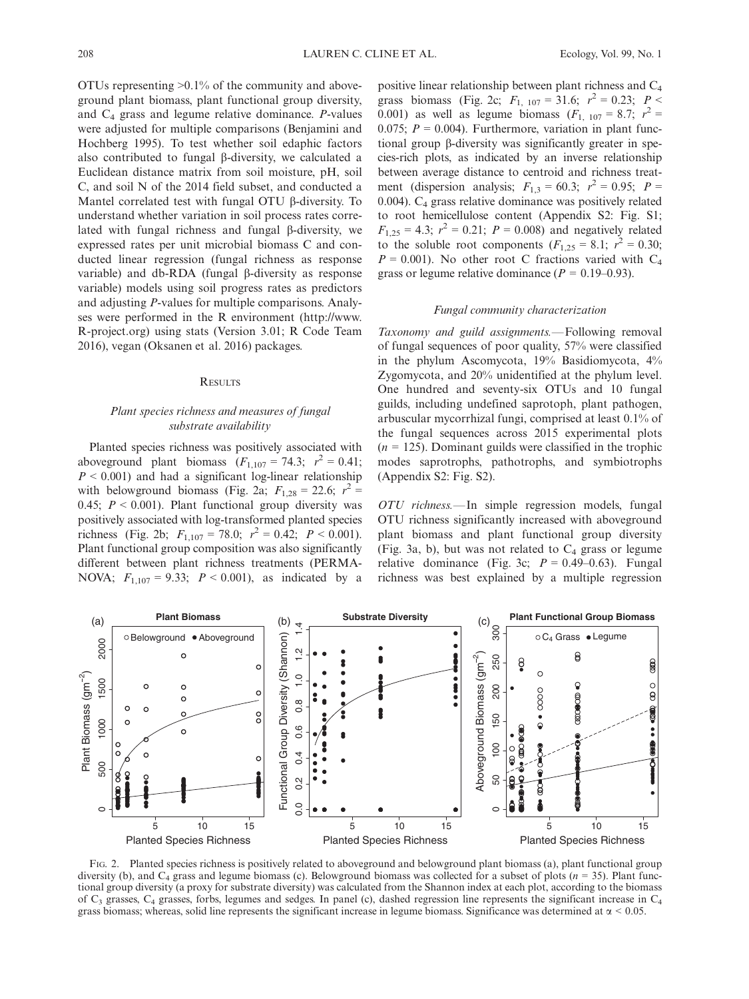OTUs representing >0.1% of the community and aboveground plant biomass, plant functional group diversity, and  $C_4$  grass and legume relative dominance. *P*-values were adjusted for multiple comparisons (Benjamini and Hochberg 1995). To test whether soil edaphic factors also contributed to fungal  $\beta$ -diversity, we calculated a Euclidean distance matrix from soil moisture, pH, soil C, and soil N of the 2014 field subset, and conducted a Mantel correlated test with fungal OTU  $\beta$ -diversity. To understand whether variation in soil process rates correlated with fungal richness and fungal  $\beta$ -diversity, we expressed rates per unit microbial biomass C and conducted linear regression (fungal richness as response variable) and db-RDA (fungal  $\beta$ -diversity as response variable) models using soil progress rates as predictors and adjusting P-values for multiple comparisons. Analyses were performed in the R environment ([http://www.](http://www.R-project.org) [R-project.org](http://www.R-project.org)) using stats (Version 3.01; R Code Team 2016), vegan (Oksanen et al. 2016) packages.

#### **RESULTS**

# Plant species richness and measures of fungal substrate availability

Planted species richness was positively associated with aboveground plant biomass  $(F_{1,107} = 74.3; r^2 = 0.41;$  $P < 0.001$ ) and had a significant log-linear relationship with belowground biomass (Fig. 2a;  $F_{1,28} = 22.6$ ;  $r^2 =$ 0.45;  $P < 0.001$ ). Plant functional group diversity was positively associated with log-transformed planted species richness (Fig. 2b;  $F_{1,107} = 78.0; r^2 = 0.42; P < 0.001$ ). Plant functional group composition was also significantly different between plant richness treatments (PERMA-NOVA;  $F_{1,107} = 9.33$ ;  $P < 0.001$ ), as indicated by a positive linear relationship between plant richness and C4 grass biomass (Fig. 2c;  $F_{1, 107} = 31.6; r^2 = 0.23; P <$ 0.001) as well as legume biomass  $(F_{1, 107} = 8.7; r^2 =$ 0.075;  $P = 0.004$ ). Furthermore, variation in plant functional group b-diversity was significantly greater in species-rich plots, as indicated by an inverse relationship between average distance to centroid and richness treatment (dispersion analysis;  $F_{1,3} = 60.3; r^2 = 0.95; P =$ 0.004). C4 grass relative dominance was positively related to root hemicellulose content (Appendix S2: Fig. S1;  $F_{1,25} = 4.3$ ;  $r^2 = 0.21$ ;  $P = 0.008$ ) and negatively related to the soluble root components  $(F_{1,25} = 8.1; r^2 = 0.30;$  $P = 0.001$ ). No other root C fractions varied with C<sub>4</sub> grass or legume relative dominance ( $P = 0.19{\text -}0.93$ ).

#### Fungal community characterization

Taxonomy and guild assignments.—Following removal of fungal sequences of poor quality, 57% were classified in the phylum Ascomycota, 19% Basidiomycota, 4% Zygomycota, and 20% unidentified at the phylum level. One hundred and seventy-six OTUs and 10 fungal guilds, including undefined saprotoph, plant pathogen, arbuscular mycorrhizal fungi, comprised at least 0.1% of the fungal sequences across 2015 experimental plots  $(n = 125)$ . Dominant guilds were classified in the trophic modes saprotrophs, pathotrophs, and symbiotrophs (Appendix S2: Fig. S2).

OTU richness.—In simple regression models, fungal OTU richness significantly increased with aboveground plant biomass and plant functional group diversity (Fig. 3a, b), but was not related to  $C_4$  grass or legume relative dominance (Fig. 3c;  $P = 0.49{\text -}0.63$ ). Fungal richness was best explained by a multiple regression



FIG. 2. Planted species richness is positively related to aboveground and belowground plant biomass (a), plant functional group diversity (b), and  $C_4$  grass and legume biomass (c). Belowground biomass was collected for a subset of plots (n = 35). Plant functional group diversity (a proxy for substrate diversity) was calculated from the Shannon index at each plot, according to the biomass of  $C_3$  grasses,  $C_4$  grasses, forbs, legumes and sedges. In panel (c), dashed regression line represents the significant increase in  $C_4$ grass biomass; whereas, solid line represents the significant increase in legume biomass. Significance was determined at  $\alpha$  < 0.05.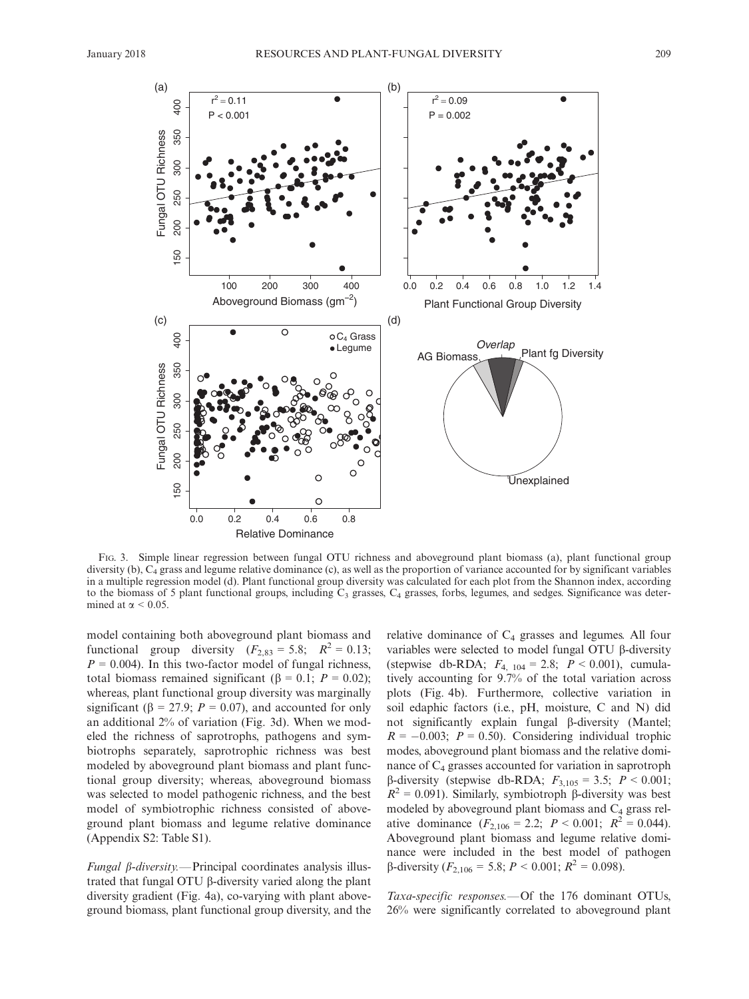

FIG. 3. Simple linear regression between fungal OTU richness and aboveground plant biomass (a), plant functional group diversity (b),  $C_4$  grass and legume relative dominance (c), as well as the proportion of variance accounted for by significant variables in a multiple regression model (d). Plant functional group diversity was calculated for each plot from the Shannon index, according to the biomass of 5 plant functional groups, including  $\bar{C}_3$  grasses,  $C_4$  grasses, forbs, legumes, and sedges. Significance was determined at  $\alpha$  < 0.05.

model containing both aboveground plant biomass and functional group diversity  $(F_{2,83} = 5.8;$   $R^2 = 0.13;$  $P = 0.004$ ). In this two-factor model of fungal richness, total biomass remained significant ( $\beta = 0.1$ ;  $P = 0.02$ ); whereas, plant functional group diversity was marginally significant ( $\beta = 27.9$ ;  $P = 0.07$ ), and accounted for only an additional 2% of variation (Fig. 3d). When we modeled the richness of saprotrophs, pathogens and symbiotrophs separately, saprotrophic richness was best modeled by aboveground plant biomass and plant functional group diversity; whereas, aboveground biomass was selected to model pathogenic richness, and the best model of symbiotrophic richness consisted of aboveground plant biomass and legume relative dominance (Appendix S2: Table S1).

 $Fungal \beta$ -diversity. - Principal coordinates analysis illustrated that fungal OTU  $\beta$ -diversity varied along the plant diversity gradient (Fig. 4a), co-varying with plant aboveground biomass, plant functional group diversity, and the relative dominance of  $C_4$  grasses and legumes. All four variables were selected to model fungal OTU  $\beta$ -diversity (stepwise db-RDA;  $F_{4, 104} = 2.8$ ;  $P < 0.001$ ), cumulatively accounting for 9.7% of the total variation across plots (Fig. 4b). Furthermore, collective variation in soil edaphic factors (i.e., pH, moisture, C and N) did not significantly explain fungal β-diversity (Mantel;  $R = -0.003$ ;  $P = 0.50$ ). Considering individual trophic modes, aboveground plant biomass and the relative dominance of  $C_4$  grasses accounted for variation in saprotroph β-diversity (stepwise db-RDA;  $F_{3,105} = 3.5$ ;  $P < 0.001$ ;  $R^2 = 0.091$ ). Similarly, symbiotroph  $\beta$ -diversity was best modeled by aboveground plant biomass and  $C_4$  grass relative dominance  $(F_{2,106} = 2.2; P < 0.001; R^2 = 0.044)$ . Aboveground plant biomass and legume relative dominance were included in the best model of pathogen  $\beta$ -diversity ( $F_{2,106} = 5.8$ ;  $P < 0.001$ ;  $R^2 = 0.098$ ).

Taxa-specific responses.—Of the 176 dominant OTUs, 26% were significantly correlated to aboveground plant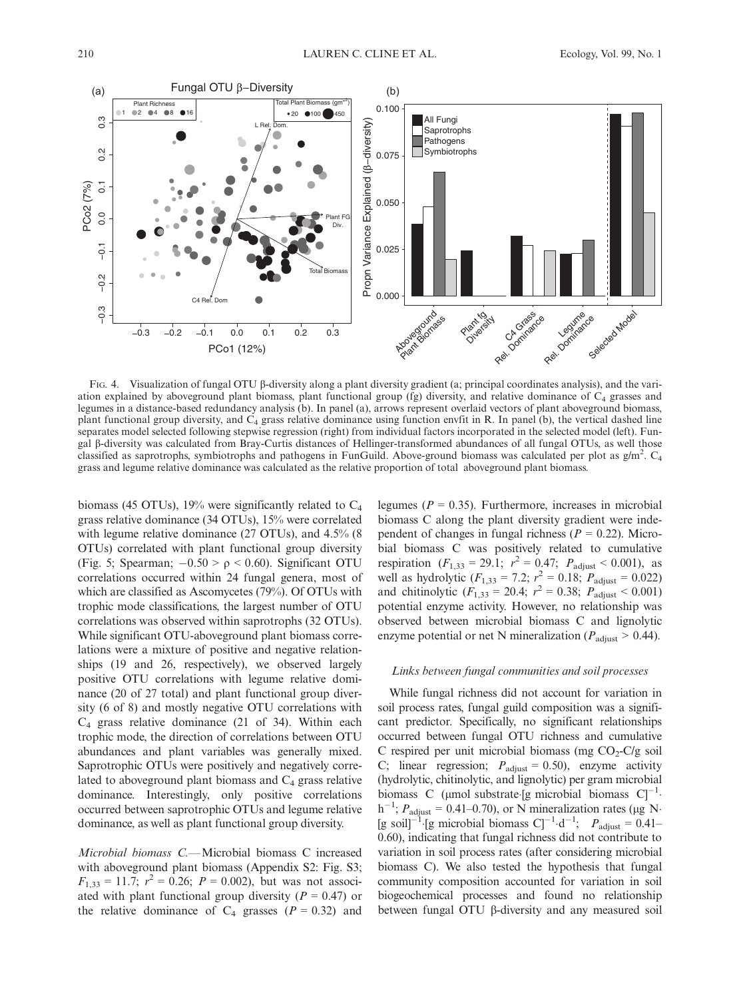

FIG. 4. Visualization of fungal OTU  $\beta$ -diversity along a plant diversity gradient (a; principal coordinates analysis), and the variation explained by aboveground plant biomass, plant functional group (fg) diversity, and relative dominance of  $C_4$  grasses and legumes in a distance-based redundancy analysis (b). In panel (a), arrows represent overlaid vectors of plant aboveground biomass, plant functional group diversity, and  $C_4$  grass relative dominance using function envfit in R. In panel (b), the vertical dashed line separates model selected following stepwise regression (right) from individual factors incorporated in the selected model (left). Fungal b-diversity was calculated from Bray-Curtis distances of Hellinger-transformed abundances of all fungal OTUs, as well those classified as saprotrophs, symbiotrophs and pathogens in FunGuild. Above-ground biomass was calculated per plot as  $g/m^2$ .  $C_4$ grass and legume relative dominance was calculated as the relative proportion of total aboveground plant biomass.

biomass (45 OTUs), 19% were significantly related to  $C_4$ grass relative dominance (34 OTUs), 15% were correlated with legume relative dominance (27 OTUs), and 4.5% (8 OTUs) correlated with plant functional group diversity (Fig. 5; Spearman;  $-0.50 > \rho < 0.60$ ). Significant OTU correlations occurred within 24 fungal genera, most of which are classified as Ascomycetes (79%). Of OTUs with trophic mode classifications, the largest number of OTU correlations was observed within saprotrophs (32 OTUs). While significant OTU-aboveground plant biomass correlations were a mixture of positive and negative relationships (19 and 26, respectively), we observed largely positive OTU correlations with legume relative dominance (20 of 27 total) and plant functional group diversity (6 of 8) and mostly negative OTU correlations with  $C_4$  grass relative dominance (21 of 34). Within each trophic mode, the direction of correlations between OTU abundances and plant variables was generally mixed. Saprotrophic OTUs were positively and negatively correlated to aboveground plant biomass and  $C_4$  grass relative dominance. Interestingly, only positive correlations occurred between saprotrophic OTUs and legume relative dominance, as well as plant functional group diversity.

Microbial biomass C.—Microbial biomass C increased with aboveground plant biomass (Appendix S2: Fig. S3;  $F_{1,33} = 11.7$ ;  $r^2 = 0.26$ ;  $P = 0.002$ ), but was not associated with plant functional group diversity ( $P = 0.47$ ) or the relative dominance of  $C_4$  grasses ( $P = 0.32$ ) and legumes ( $P = 0.35$ ). Furthermore, increases in microbial biomass C along the plant diversity gradient were independent of changes in fungal richness ( $P = 0.22$ ). Microbial biomass C was positively related to cumulative respiration  $(F_{1,33} = 29.1; r^2 = 0.47; P_{\text{adjust}} < 0.001)$ , as well as hydrolytic  $(F_{1,33} = 7.2; r^2 = 0.18; P_{\text{adjust}} = 0.022)$ and chitinolytic  $(F_{1,33} = 20.4; r^2 = 0.38; P_{\text{adjust}} < 0.001)$ potential enzyme activity. However, no relationship was observed between microbial biomass C and lignolytic enzyme potential or net N mineralization ( $P_{\text{adjust}} > 0.44$ ).

## Links between fungal communities and soil processes

While fungal richness did not account for variation in soil process rates, fungal guild composition was a significant predictor. Specifically, no significant relationships occurred between fungal OTU richness and cumulative C respired per unit microbial biomass (mg  $CO<sub>2</sub>-C/g$  soil C; linear regression;  $P_{\text{adjust}} = 0.50$ ), enzyme activity (hydrolytic, chitinolytic, and lignolytic) per gram microbial biomass C (µmol substrate [g microbial biomass  $C$ ]<sup>-1</sup>.  $h^{-1}$ ;  $P_{\text{adjust}} = 0.41{\text{-}}0.70$ , or N mineralization rates (µg N [g soil]<sup>-1</sup>·[g microbial biomass C]<sup>-1</sup>·d<sup>-1</sup>;  $P_{\text{adjust}} = 0.41$ -0.60), indicating that fungal richness did not contribute to variation in soil process rates (after considering microbial biomass C). We also tested the hypothesis that fungal community composition accounted for variation in soil biogeochemical processes and found no relationship between fungal OTU β-diversity and any measured soil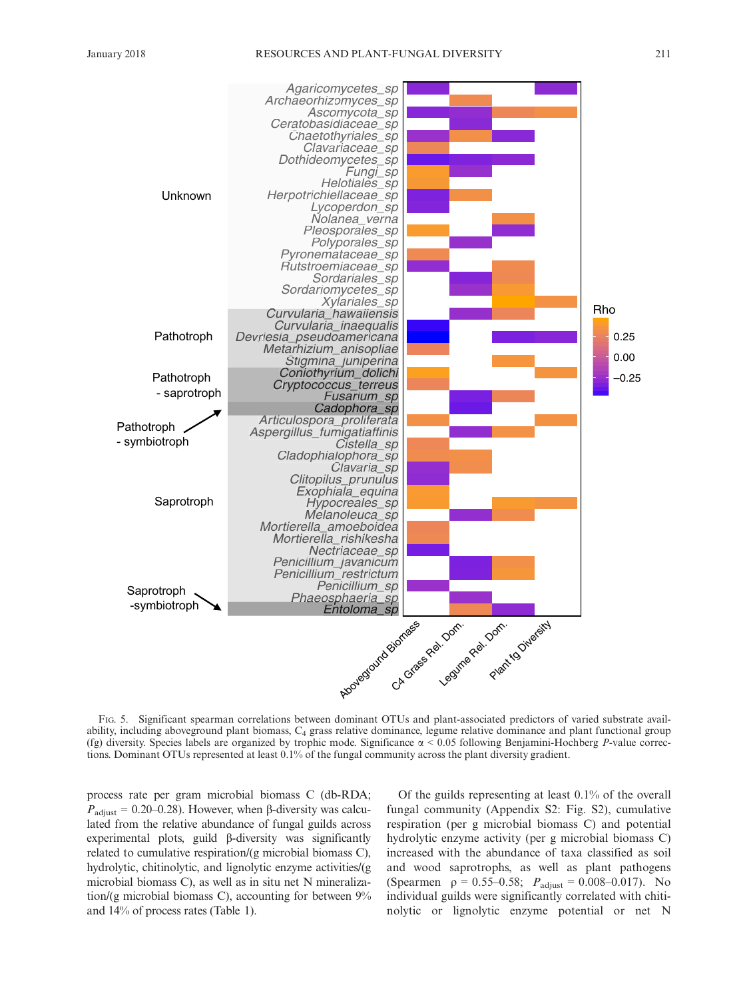

FIG. 5. Significant spearman correlations between dominant OTUs and plant-associated predictors of varied substrate availability, including aboveground plant biomass, C4 grass relative dominance, legume relative dominance and plant functional group (fg) diversity. Species labels are organized by trophic mode. Significance  $\alpha$  < 0.05 following Benjamini-Hochberg P-value corrections. Dominant OTUs represented at least 0.1% of the fungal community across the plant diversity gradient.

process rate per gram microbial biomass C (db-RDA;  $P_{\text{adjust}} = 0.20{\text -}0.28$ . However, when  $\beta$ -diversity was calculated from the relative abundance of fungal guilds across experimental plots, guild  $\beta$ -diversity was significantly related to cumulative respiration/(g microbial biomass C), hydrolytic, chitinolytic, and lignolytic enzyme activities/(g microbial biomass C), as well as in situ net N mineralization/(g microbial biomass C), accounting for between 9% and 14% of process rates (Table 1).

Of the guilds representing at least 0.1% of the overall fungal community (Appendix S2: Fig. S2), cumulative respiration (per g microbial biomass C) and potential hydrolytic enzyme activity (per g microbial biomass C) increased with the abundance of taxa classified as soil and wood saprotrophs, as well as plant pathogens (Spearmen  $\rho = 0.55-0.58$ ;  $P_{\text{adjust}} = 0.008-0.017$ ). No individual guilds were significantly correlated with chitinolytic or lignolytic enzyme potential or net N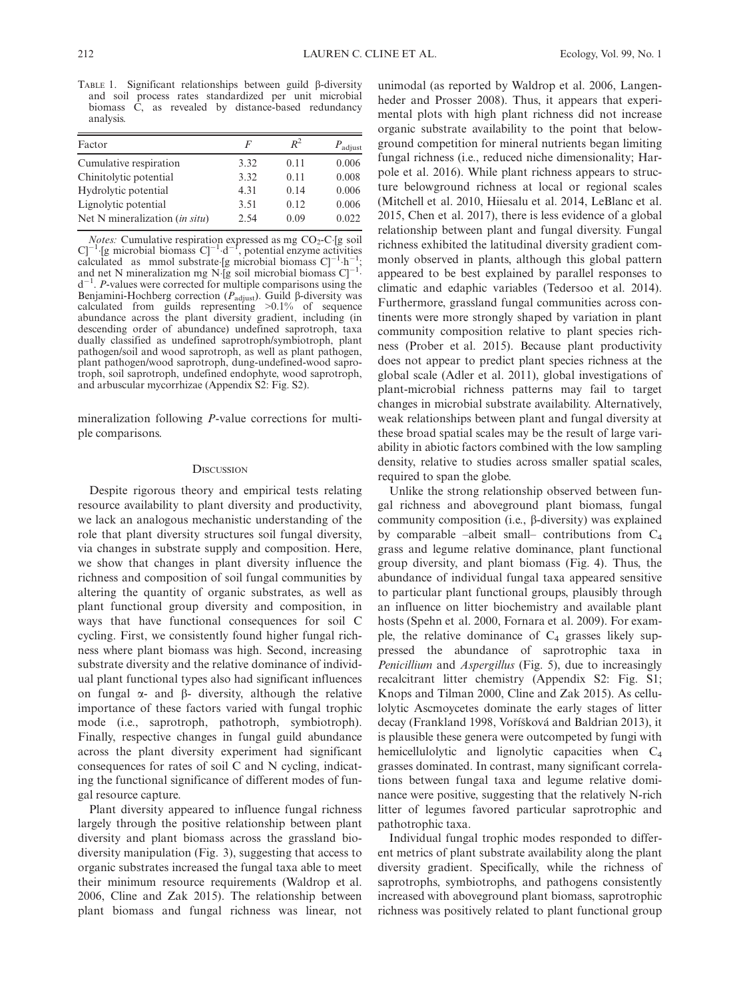TABLE 1. Significant relationships between guild  $\beta$ -diversity and soil process rates standardized per unit microbial biomass C, as revealed by distance-based redundancy analysis.

| Factor                         | F    | $R^2$ | $P_{\text{adjust}}$ |
|--------------------------------|------|-------|---------------------|
| Cumulative respiration         | 3.32 | 0.11  | 0.006               |
| Chinitolytic potential         | 3.32 | 0.11  | 0.008               |
| Hydrolytic potential           | 4.31 | 0.14  | 0.006               |
| Lignolytic potential           | 3.51 | 0.12  | 0.006               |
| Net N mineralization (in situ) | 2.54 | 0.09  | 0.022               |

*Notes:* Cumulative respiration expressed as mg CO<sub>2</sub>-C [g soil<br>C]<sup>-1</sup> [g microbial biomass C]<sup>-1</sup> -d<sup>-1</sup>, potential enzyme activities<br>calculated as mmol substrate [g microbial biomass C]<sup>-1</sup> -h<sup>-1</sup>,<br>and net N mineralizat  $d^{-1}$ . *P*-values were corrected for multiple comparisons using the Benjamini-Hochberg correction ( $P_{\text{adjust}}$ ). Guild  $\beta$ -diversity was calculated from guilds representing  $>0.1\%$  of sequence abundance across the plant diversity gradient, including (in descending order of abundance) undefined saprotroph, taxa dually classified as undefined saprotroph/symbiotroph, plant pathogen/soil and wood saprotroph, as well as plant pathogen, plant pathogen/wood saprotroph, dung-undefined-wood saprotroph, soil saprotroph, undefined endophyte, wood saprotroph, and arbuscular mycorrhizae (Appendix S2: Fig. S2).

mineralization following P-value corrections for multiple comparisons.

#### **DISCUSSION**

Despite rigorous theory and empirical tests relating resource availability to plant diversity and productivity, we lack an analogous mechanistic understanding of the role that plant diversity structures soil fungal diversity, via changes in substrate supply and composition. Here, we show that changes in plant diversity influence the richness and composition of soil fungal communities by altering the quantity of organic substrates, as well as plant functional group diversity and composition, in ways that have functional consequences for soil C cycling. First, we consistently found higher fungal richness where plant biomass was high. Second, increasing substrate diversity and the relative dominance of individual plant functional types also had significant influences on fungal  $\alpha$ - and  $\beta$ - diversity, although the relative importance of these factors varied with fungal trophic mode (i.e., saprotroph, pathotroph, symbiotroph). Finally, respective changes in fungal guild abundance across the plant diversity experiment had significant consequences for rates of soil C and N cycling, indicating the functional significance of different modes of fungal resource capture.

Plant diversity appeared to influence fungal richness largely through the positive relationship between plant diversity and plant biomass across the grassland biodiversity manipulation (Fig. 3), suggesting that access to organic substrates increased the fungal taxa able to meet their minimum resource requirements (Waldrop et al. 2006, Cline and Zak 2015). The relationship between plant biomass and fungal richness was linear, not

unimodal (as reported by Waldrop et al. 2006, Langenheder and Prosser 2008). Thus, it appears that experimental plots with high plant richness did not increase organic substrate availability to the point that belowground competition for mineral nutrients began limiting fungal richness (i.e., reduced niche dimensionality; Harpole et al. 2016). While plant richness appears to structure belowground richness at local or regional scales (Mitchell et al. 2010, Hiiesalu et al. 2014, LeBlanc et al. 2015, Chen et al. 2017), there is less evidence of a global relationship between plant and fungal diversity. Fungal richness exhibited the latitudinal diversity gradient commonly observed in plants, although this global pattern appeared to be best explained by parallel responses to climatic and edaphic variables (Tedersoo et al. 2014). Furthermore, grassland fungal communities across continents were more strongly shaped by variation in plant community composition relative to plant species richness (Prober et al. 2015). Because plant productivity does not appear to predict plant species richness at the global scale (Adler et al. 2011), global investigations of plant-microbial richness patterns may fail to target changes in microbial substrate availability. Alternatively, weak relationships between plant and fungal diversity at these broad spatial scales may be the result of large variability in abiotic factors combined with the low sampling density, relative to studies across smaller spatial scales, required to span the globe.

Unlike the strong relationship observed between fungal richness and aboveground plant biomass, fungal community composition (i.e., b-diversity) was explained by comparable –albeit small– contributions from  $C_4$ grass and legume relative dominance, plant functional group diversity, and plant biomass (Fig. 4). Thus, the abundance of individual fungal taxa appeared sensitive to particular plant functional groups, plausibly through an influence on litter biochemistry and available plant hosts (Spehn et al. 2000, Fornara et al. 2009). For example, the relative dominance of  $C_4$  grasses likely suppressed the abundance of saprotrophic taxa in Penicillium and Aspergillus (Fig. 5), due to increasingly recalcitrant litter chemistry (Appendix S2: Fig. S1; Knops and Tilman 2000, Cline and Zak 2015). As cellulolytic Ascmoycetes dominate the early stages of litter decay (Frankland 1998, Voříšková and Baldrian 2013), it is plausible these genera were outcompeted by fungi with hemicellulolytic and lignolytic capacities when  $C_4$ grasses dominated. In contrast, many significant correlations between fungal taxa and legume relative dominance were positive, suggesting that the relatively N-rich litter of legumes favored particular saprotrophic and pathotrophic taxa.

Individual fungal trophic modes responded to different metrics of plant substrate availability along the plant diversity gradient. Specifically, while the richness of saprotrophs, symbiotrophs, and pathogens consistently increased with aboveground plant biomass, saprotrophic richness was positively related to plant functional group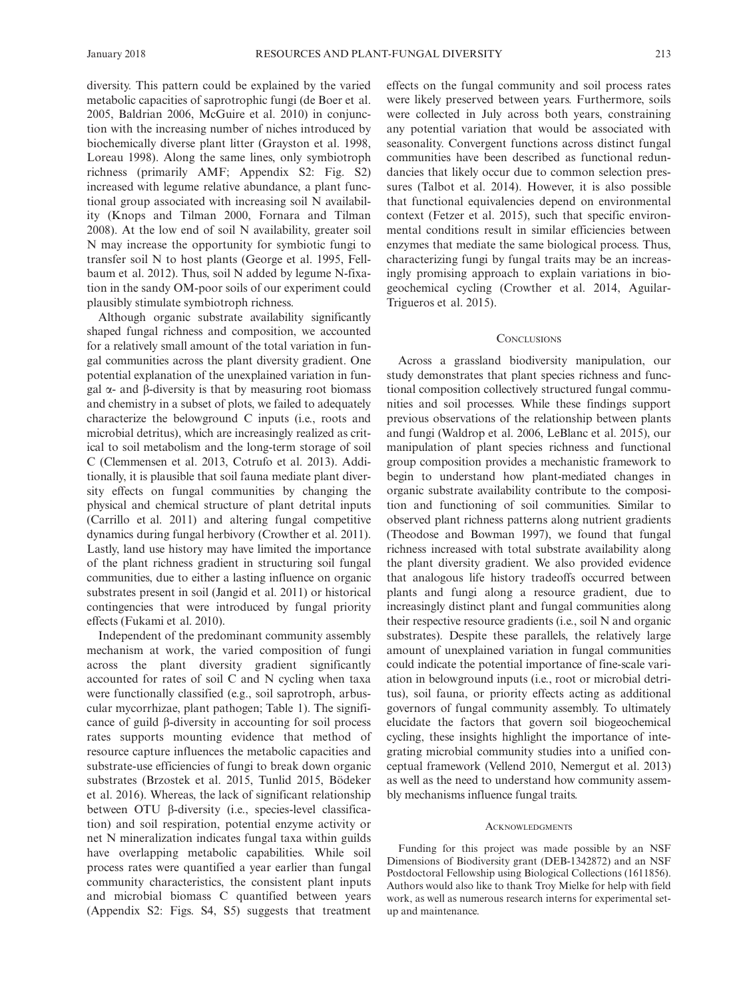diversity. This pattern could be explained by the varied metabolic capacities of saprotrophic fungi (de Boer et al. 2005, Baldrian 2006, McGuire et al. 2010) in conjunction with the increasing number of niches introduced by biochemically diverse plant litter (Grayston et al. 1998, Loreau 1998). Along the same lines, only symbiotroph richness (primarily AMF; Appendix S2: Fig. S2) increased with legume relative abundance, a plant functional group associated with increasing soil N availability (Knops and Tilman 2000, Fornara and Tilman 2008). At the low end of soil N availability, greater soil N may increase the opportunity for symbiotic fungi to transfer soil N to host plants (George et al. 1995, Fellbaum et al. 2012). Thus, soil N added by legume N-fixation in the sandy OM-poor soils of our experiment could plausibly stimulate symbiotroph richness.

Although organic substrate availability significantly shaped fungal richness and composition, we accounted for a relatively small amount of the total variation in fungal communities across the plant diversity gradient. One potential explanation of the unexplained variation in fungal  $\alpha$ - and  $\beta$ -diversity is that by measuring root biomass and chemistry in a subset of plots, we failed to adequately characterize the belowground C inputs (i.e., roots and microbial detritus), which are increasingly realized as critical to soil metabolism and the long-term storage of soil C (Clemmensen et al. 2013, Cotrufo et al. 2013). Additionally, it is plausible that soil fauna mediate plant diversity effects on fungal communities by changing the physical and chemical structure of plant detrital inputs (Carrillo et al. 2011) and altering fungal competitive dynamics during fungal herbivory (Crowther et al. 2011). Lastly, land use history may have limited the importance of the plant richness gradient in structuring soil fungal communities, due to either a lasting influence on organic substrates present in soil (Jangid et al. 2011) or historical contingencies that were introduced by fungal priority effects (Fukami et al. 2010).

Independent of the predominant community assembly mechanism at work, the varied composition of fungi across the plant diversity gradient significantly accounted for rates of soil C and N cycling when taxa were functionally classified (e.g., soil saprotroph, arbuscular mycorrhizae, plant pathogen; Table 1). The significance of guild  $\beta$ -diversity in accounting for soil process rates supports mounting evidence that method of resource capture influences the metabolic capacities and substrate-use efficiencies of fungi to break down organic substrates (Brzostek et al. 2015, Tunlid 2015, Bödeker et al. 2016). Whereas, the lack of significant relationship between OTU  $\beta$ -diversity (i.e., species-level classification) and soil respiration, potential enzyme activity or net N mineralization indicates fungal taxa within guilds have overlapping metabolic capabilities. While soil process rates were quantified a year earlier than fungal community characteristics, the consistent plant inputs and microbial biomass C quantified between years (Appendix S2: Figs. S4, S5) suggests that treatment effects on the fungal community and soil process rates were likely preserved between years. Furthermore, soils were collected in July across both years, constraining any potential variation that would be associated with seasonality. Convergent functions across distinct fungal communities have been described as functional redundancies that likely occur due to common selection pressures (Talbot et al. 2014). However, it is also possible that functional equivalencies depend on environmental context (Fetzer et al. 2015), such that specific environmental conditions result in similar efficiencies between enzymes that mediate the same biological process. Thus, characterizing fungi by fungal traits may be an increasingly promising approach to explain variations in biogeochemical cycling (Crowther et al. 2014, Aguilar-Trigueros et al. 2015).

## **CONCLUSIONS**

Across a grassland biodiversity manipulation, our study demonstrates that plant species richness and functional composition collectively structured fungal communities and soil processes. While these findings support previous observations of the relationship between plants and fungi (Waldrop et al. 2006, LeBlanc et al. 2015), our manipulation of plant species richness and functional group composition provides a mechanistic framework to begin to understand how plant-mediated changes in organic substrate availability contribute to the composition and functioning of soil communities. Similar to observed plant richness patterns along nutrient gradients (Theodose and Bowman 1997), we found that fungal richness increased with total substrate availability along the plant diversity gradient. We also provided evidence that analogous life history tradeoffs occurred between plants and fungi along a resource gradient, due to increasingly distinct plant and fungal communities along their respective resource gradients (i.e., soil N and organic substrates). Despite these parallels, the relatively large amount of unexplained variation in fungal communities could indicate the potential importance of fine-scale variation in belowground inputs (i.e., root or microbial detritus), soil fauna, or priority effects acting as additional governors of fungal community assembly. To ultimately elucidate the factors that govern soil biogeochemical cycling, these insights highlight the importance of integrating microbial community studies into a unified conceptual framework (Vellend 2010, Nemergut et al. 2013) as well as the need to understand how community assembly mechanisms influence fungal traits.

#### ACKNOWLEDGMENTS

Funding for this project was made possible by an NSF Dimensions of Biodiversity grant (DEB-1342872) and an NSF Postdoctoral Fellowship using Biological Collections (1611856). Authors would also like to thank Troy Mielke for help with field work, as well as numerous research interns for experimental setup and maintenance.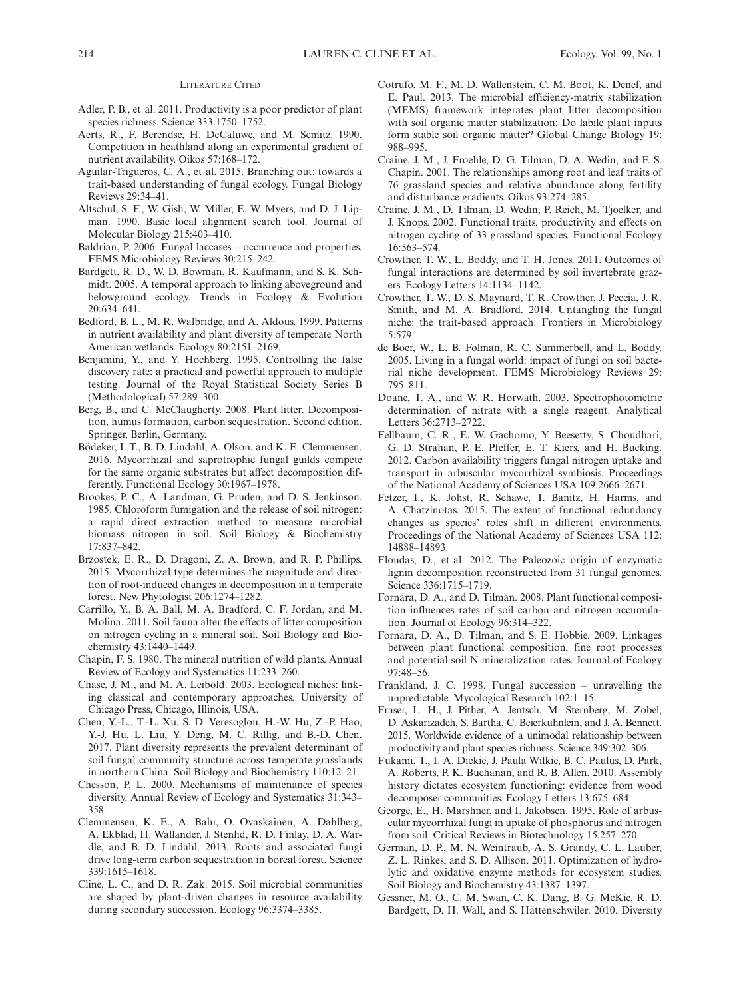#### LITERATURE CITED

- Adler, P. B., et al. 2011. Productivity is a poor predictor of plant species richness. Science 333:1750–1752.
- Aerts, R., F. Berendse, H. DeCaluwe, and M. Scmitz. 1990. Competition in heathland along an experimental gradient of nutrient availability. Oikos 57:168–172.
- Aguilar-Trigueros, C. A., et al. 2015. Branching out: towards a trait-based understanding of fungal ecology. Fungal Biology Reviews 29:34–41.
- Altschul, S. F., W. Gish, W. Miller, E. W. Myers, and D. J. Lipman. 1990. Basic local alignment search tool. Journal of Molecular Biology 215:403–410.
- Baldrian, P. 2006. Fungal laccases occurrence and properties. FEMS Microbiology Reviews 30:215–242.
- Bardgett, R. D., W. D. Bowman, R. Kaufmann, and S. K. Schmidt. 2005. A temporal approach to linking aboveground and belowground ecology. Trends in Ecology & Evolution  $20.634 - 641$
- Bedford, B. L., M. R. Walbridge, and A. Aldous. 1999. Patterns in nutrient availability and plant diversity of temperate North American wetlands. Ecology 80:2151–2169.
- Benjamini, Y., and Y. Hochberg. 1995. Controlling the false discovery rate: a practical and powerful approach to multiple testing. Journal of the Royal Statistical Society Series B (Methodological) 57:289–300.
- Berg, B., and C. McClaugherty. 2008. Plant litter. Decomposition, humus formation, carbon sequestration. Second edition. Springer, Berlin, Germany.
- Bödeker, I. T., B. D. Lindahl, A. Olson, and K. E. Clemmensen. 2016. Mycorrhizal and saprotrophic fungal guilds compete for the same organic substrates but affect decomposition differently. Functional Ecology 30:1967–1978.
- Brookes, P. C., A. Landman, G. Pruden, and D. S. Jenkinson. 1985. Chloroform fumigation and the release of soil nitrogen: a rapid direct extraction method to measure microbial biomass nitrogen in soil. Soil Biology & Biochemistry 17:837–842.
- Brzostek, E. R., D. Dragoni, Z. A. Brown, and R. P. Phillips. 2015. Mycorrhizal type determines the magnitude and direction of root-induced changes in decomposition in a temperate forest. New Phytologist 206:1274–1282.
- Carrillo, Y., B. A. Ball, M. A. Bradford, C. F. Jordan, and M. Molina. 2011. Soil fauna alter the effects of litter composition on nitrogen cycling in a mineral soil. Soil Biology and Biochemistry 43:1440–1449.
- Chapin, F. S. 1980. The mineral nutrition of wild plants. Annual Review of Ecology and Systematics 11:233–260.
- Chase, J. M., and M. A. Leibold. 2003. Ecological niches: linking classical and contemporary approaches. University of Chicago Press, Chicago, Illinois, USA.
- Chen, Y.-L., T.-L. Xu, S. D. Veresoglou, H.-W. Hu, Z.-P. Hao, Y.-J. Hu, L. Liu, Y. Deng, M. C. Rillig, and B.-D. Chen. 2017. Plant diversity represents the prevalent determinant of soil fungal community structure across temperate grasslands in northern China. Soil Biology and Biochemistry 110:12–21.
- Chesson, P. L. 2000. Mechanisms of maintenance of species diversity. Annual Review of Ecology and Systematics 31:343– 358.
- Clemmensen, K. E., A. Bahr, O. Ovaskainen, A. Dahlberg, A. Ekblad, H. Wallander, J. Stenlid, R. D. Finlay, D. A. Wardle, and B. D. Lindahl. 2013. Roots and associated fungi drive long-term carbon sequestration in boreal forest. Science 339:1615–1618.
- Cline, L. C., and D. R. Zak. 2015. Soil microbial communities are shaped by plant-driven changes in resource availability during secondary succession. Ecology 96:3374–3385.
- Cotrufo, M. F., M. D. Wallenstein, C. M. Boot, K. Denef, and E. Paul. 2013. The microbial efficiency-matrix stabilization (MEMS) framework integrates plant litter decomposition with soil organic matter stabilization: Do labile plant inputs form stable soil organic matter? Global Change Biology 19: 988–995.
- Craine, J. M., J. Froehle, D. G. Tilman, D. A. Wedin, and F. S. Chapin. 2001. The relationships among root and leaf traits of 76 grassland species and relative abundance along fertility and disturbance gradients. Oikos 93:274–285.
- Craine, J. M., D. Tilman, D. Wedin, P. Reich, M. Tjoelker, and J. Knops. 2002. Functional traits, productivity and effects on nitrogen cycling of 33 grassland species. Functional Ecology 16:563–574.
- Crowther, T. W., L. Boddy, and T. H. Jones. 2011. Outcomes of fungal interactions are determined by soil invertebrate grazers. Ecology Letters 14:1134–1142.
- Crowther, T. W., D. S. Maynard, T. R. Crowther, J. Peccia, J. R. Smith, and M. A. Bradford. 2014. Untangling the fungal niche: the trait-based approach. Frontiers in Microbiology 5:579.
- de Boer, W., L. B. Folman, R. C. Summerbell, and L. Boddy. 2005. Living in a fungal world: impact of fungi on soil bacterial niche development. FEMS Microbiology Reviews 29: 795–811.
- Doane, T. A., and W. R. Horwath. 2003. Spectrophotometric determination of nitrate with a single reagent. Analytical Letters 36:2713–2722.
- Fellbaum, C. R., E. W. Gachomo, Y. Beesetty, S. Choudhari, G. D. Strahan, P. E. Pfeffer, E. T. Kiers, and H. Bucking. 2012. Carbon availability triggers fungal nitrogen uptake and transport in arbuscular mycorrhizal symbiosis. Proceedings of the National Academy of Sciences USA 109:2666–2671.
- Fetzer, I., K. Johst, R. Schawe, T. Banitz, H. Harms, and A. Chatzinotas. 2015. The extent of functional redundancy changes as species' roles shift in different environments. Proceedings of the National Academy of Sciences USA 112: 14888–14893.
- Floudas, D., et al. 2012. The Paleozoic origin of enzymatic lignin decomposition reconstructed from 31 fungal genomes. Science 336:1715–1719.
- Fornara, D. A., and D. Tilman. 2008. Plant functional composition influences rates of soil carbon and nitrogen accumulation. Journal of Ecology 96:314–322.
- Fornara, D. A., D. Tilman, and S. E. Hobbie. 2009. Linkages between plant functional composition, fine root processes and potential soil N mineralization rates. Journal of Ecology 97:48–56.
- Frankland, J. C. 1998. Fungal succession unravelling the unpredictable. Mycological Research 102:1–15.
- Fraser, L. H., J. Pither, A. Jentsch, M. Sternberg, M. Zobel, D. Askarizadeh, S. Bartha, C. Beierkuhnlein, and J. A. Bennett. 2015. Worldwide evidence of a unimodal relationship between productivity and plant species richness. Science 349:302–306.
- Fukami, T., I. A. Dickie, J. Paula Wilkie, B. C. Paulus, D. Park, A. Roberts, P. K. Buchanan, and R. B. Allen. 2010. Assembly history dictates ecosystem functioning: evidence from wood decomposer communities. Ecology Letters 13:675–684.
- George, E., H. Marshner, and I. Jakobsen. 1995. Role of arbuscular mycorrhizal fungi in uptake of phosphorus and nitrogen from soil. Critical Reviews in Biotechnology 15:257–270.
- German, D. P., M. N. Weintraub, A. S. Grandy, C. L. Lauber, Z. L. Rinkes, and S. D. Allison. 2011. Optimization of hydrolytic and oxidative enzyme methods for ecosystem studies. Soil Biology and Biochemistry 43:1387–1397.
- Gessner, M. O., C. M. Swan, C. K. Dang, B. G. McKie, R. D. Bardgett, D. H. Wall, and S. Hättenschwiler. 2010. Diversity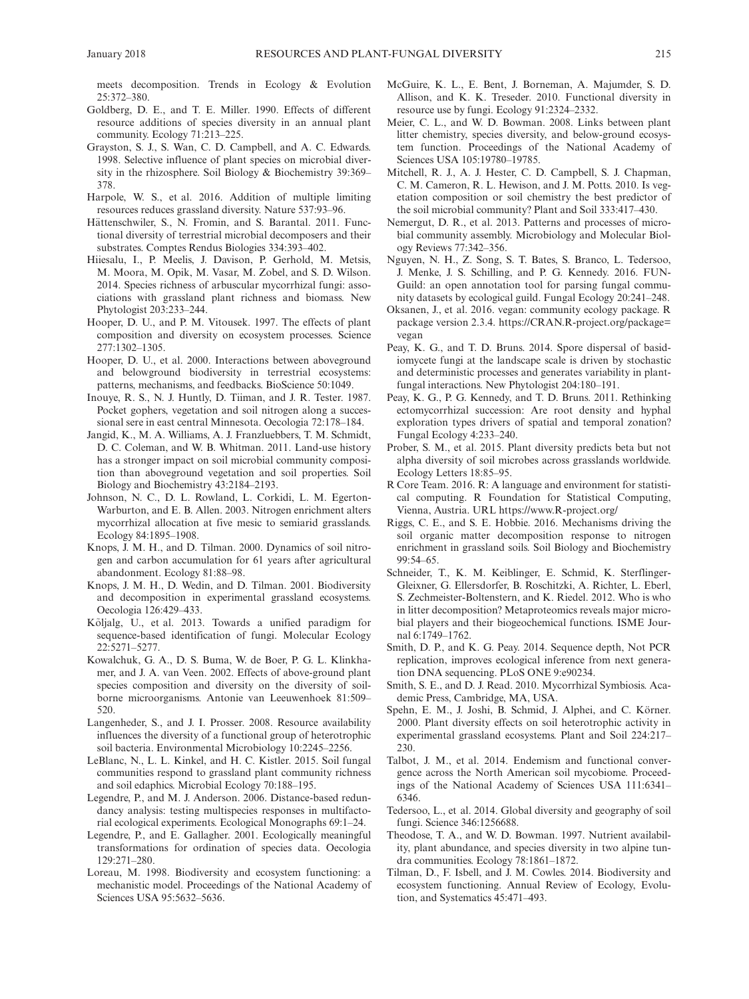meets decomposition. Trends in Ecology & Evolution 25:372–380.

- Goldberg, D. E., and T. E. Miller. 1990. Effects of different resource additions of species diversity in an annual plant community. Ecology 71:213–225.
- Grayston, S. J., S. Wan, C. D. Campbell, and A. C. Edwards. 1998. Selective influence of plant species on microbial diversity in the rhizosphere. Soil Biology & Biochemistry 39:369– 378.
- Harpole, W. S., et al. 2016. Addition of multiple limiting resources reduces grassland diversity. Nature 537:93–96.
- Hättenschwiler, S., N. Fromin, and S. Barantal. 2011. Functional diversity of terrestrial microbial decomposers and their substrates. Comptes Rendus Biologies 334:393–402.
- Hiiesalu, I., P. Meelis, J. Davison, P. Gerhold, M. Metsis, M. Moora, M. Opik, M. Vasar, M. Zobel, and S. D. Wilson. 2014. Species richness of arbuscular mycorrhizal fungi: associations with grassland plant richness and biomass. New Phytologist 203:233–244.
- Hooper, D. U., and P. M. Vitousek. 1997. The effects of plant composition and diversity on ecosystem processes. Science 277:1302–1305.
- Hooper, D. U., et al. 2000. Interactions between aboveground and belowground biodiversity in terrestrial ecosystems: patterns, mechanisms, and feedbacks. BioScience 50:1049.
- Inouye, R. S., N. J. Huntly, D. Tiiman, and J. R. Tester. 1987. Pocket gophers, vegetation and soil nitrogen along a successional sere in east central Minnesota. Oecologia 72:178–184.
- Jangid, K., M. A. Williams, A. J. Franzluebbers, T. M. Schmidt, D. C. Coleman, and W. B. Whitman. 2011. Land-use history has a stronger impact on soil microbial community composition than aboveground vegetation and soil properties. Soil Biology and Biochemistry 43:2184–2193.
- Johnson, N. C., D. L. Rowland, L. Corkidi, L. M. Egerton-Warburton, and E. B. Allen. 2003. Nitrogen enrichment alters mycorrhizal allocation at five mesic to semiarid grasslands. Ecology 84:1895–1908.
- Knops, J. M. H., and D. Tilman. 2000. Dynamics of soil nitrogen and carbon accumulation for 61 years after agricultural abandonment. Ecology 81:88–98.
- Knops, J. M. H., D. Wedin, and D. Tilman. 2001. Biodiversity and decomposition in experimental grassland ecosystems. Oecologia 126:429–433.
- Kõljalg, U., et al. 2013. Towards a unified paradigm for sequence-based identification of fungi. Molecular Ecology 22:5271–5277.
- Kowalchuk, G. A., D. S. Buma, W. de Boer, P. G. L. Klinkhamer, and J. A. van Veen. 2002. Effects of above-ground plant species composition and diversity on the diversity of soilborne microorganisms. Antonie van Leeuwenhoek 81:509– 520.
- Langenheder, S., and J. I. Prosser. 2008. Resource availability influences the diversity of a functional group of heterotrophic soil bacteria. Environmental Microbiology 10:2245–2256.
- LeBlanc, N., L. L. Kinkel, and H. C. Kistler. 2015. Soil fungal communities respond to grassland plant community richness and soil edaphics. Microbial Ecology 70:188–195.
- Legendre, P., and M. J. Anderson. 2006. Distance-based redundancy analysis: testing multispecies responses in multifactorial ecological experiments. Ecological Monographs 69:1–24.
- Legendre, P., and E. Gallagher. 2001. Ecologically meaningful transformations for ordination of species data. Oecologia 129:271–280.
- Loreau, M. 1998. Biodiversity and ecosystem functioning: a mechanistic model. Proceedings of the National Academy of Sciences USA 95:5632–5636.
- McGuire, K. L., E. Bent, J. Borneman, A. Majumder, S. D. Allison, and K. K. Treseder. 2010. Functional diversity in resource use by fungi. Ecology 91:2324–2332.
- Meier, C. L., and W. D. Bowman. 2008. Links between plant litter chemistry, species diversity, and below-ground ecosystem function. Proceedings of the National Academy of Sciences USA 105:19780–19785.
- Mitchell, R. J., A. J. Hester, C. D. Campbell, S. J. Chapman, C. M. Cameron, R. L. Hewison, and J. M. Potts. 2010. Is vegetation composition or soil chemistry the best predictor of the soil microbial community? Plant and Soil 333:417–430.
- Nemergut, D. R., et al. 2013. Patterns and processes of microbial community assembly. Microbiology and Molecular Biology Reviews 77:342–356.
- Nguyen, N. H., Z. Song, S. T. Bates, S. Branco, L. Tedersoo, J. Menke, J. S. Schilling, and P. G. Kennedy. 2016. FUN-Guild: an open annotation tool for parsing fungal community datasets by ecological guild. Fungal Ecology 20:241–248.
- Oksanen, J., et al. 2016. vegan: community ecology package. R package version 2.3.4. [https://CRAN.R-project.org/package=](https://CRAN.R-project.org/package=vegan) [vegan](https://CRAN.R-project.org/package=vegan)
- Peay, K. G., and T. D. Bruns. 2014. Spore dispersal of basidiomycete fungi at the landscape scale is driven by stochastic and deterministic processes and generates variability in plantfungal interactions. New Phytologist 204:180–191.
- Peay, K. G., P. G. Kennedy, and T. D. Bruns. 2011. Rethinking ectomycorrhizal succession: Are root density and hyphal exploration types drivers of spatial and temporal zonation? Fungal Ecology 4:233–240.
- Prober, S. M., et al. 2015. Plant diversity predicts beta but not alpha diversity of soil microbes across grasslands worldwide. Ecology Letters 18:85–95.
- R Core Team. 2016. R: A language and environment for statistical computing. R Foundation for Statistical Computing, Vienna, Austria. URL<https://www.R-project.org/>
- Riggs, C. E., and S. E. Hobbie. 2016. Mechanisms driving the soil organic matter decomposition response to nitrogen enrichment in grassland soils. Soil Biology and Biochemistry  $99.54 - 65$
- Schneider, T., K. M. Keiblinger, E. Schmid, K. Sterflinger-Gleixner, G. Ellersdorfer, B. Roschitzki, A. Richter, L. Eberl, S. Zechmeister-Boltenstern, and K. Riedel. 2012. Who is who in litter decomposition? Metaproteomics reveals major microbial players and their biogeochemical functions. ISME Journal 6:1749–1762.
- Smith, D. P., and K. G. Peay. 2014. Sequence depth, Not PCR replication, improves ecological inference from next generation DNA sequencing. PLoS ONE 9:e90234.
- Smith, S. E., and D. J. Read. 2010. Mycorrhizal Symbiosis. Academic Press, Cambridge, MA, USA.
- Spehn, E. M., J. Joshi, B. Schmid, J. Alphei, and C. Körner. 2000. Plant diversity effects on soil heterotrophic activity in experimental grassland ecosystems. Plant and Soil 224:217– 230.
- Talbot, J. M., et al. 2014. Endemism and functional convergence across the North American soil mycobiome. Proceedings of the National Academy of Sciences USA 111:6341– 6346.
- Tedersoo, L., et al. 2014. Global diversity and geography of soil fungi. Science 346:1256688.
- Theodose, T. A., and W. D. Bowman. 1997. Nutrient availability, plant abundance, and species diversity in two alpine tundra communities. Ecology 78:1861–1872.
- Tilman, D., F. Isbell, and J. M. Cowles. 2014. Biodiversity and ecosystem functioning. Annual Review of Ecology, Evolution, and Systematics 45:471–493.